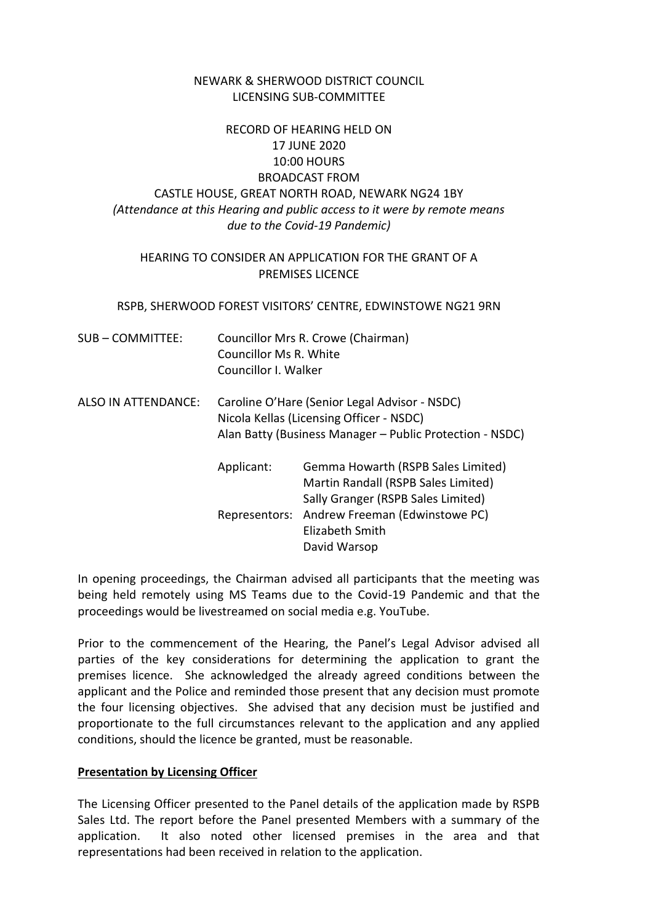## NEWARK & SHERWOOD DISTRICT COUNCIL LICENSING SUB-COMMITTEE

# RECORD OF HEARING HELD ON 17 JUNE 2020 10:00 HOURS BROADCAST FROM CASTLE HOUSE, GREAT NORTH ROAD, NEWARK NG24 1BY *(Attendance at this Hearing and public access to it were by remote means due to the Covid-19 Pandemic)*

## HEARING TO CONSIDER AN APPLICATION FOR THE GRANT OF A PREMISES LICENCE

#### RSPB, SHERWOOD FOREST VISITORS' CENTRE, EDWINSTOWE NG21 9RN

| SUB - COMMITTEE:    | Councillor Ms R. White<br>Councillor I. Walker                                                                                                        | Councillor Mrs R. Crowe (Chairman)                                                                              |
|---------------------|-------------------------------------------------------------------------------------------------------------------------------------------------------|-----------------------------------------------------------------------------------------------------------------|
| ALSO IN ATTENDANCE: | Caroline O'Hare (Senior Legal Advisor - NSDC)<br>Nicola Kellas (Licensing Officer - NSDC)<br>Alan Batty (Business Manager - Public Protection - NSDC) |                                                                                                                 |
|                     | Applicant:                                                                                                                                            | Gemma Howarth (RSPB Sales Limited)<br>Martin Randall (RSPB Sales Limited)<br>Sally Granger (RSPB Sales Limited) |
|                     |                                                                                                                                                       | Representors: Andrew Freeman (Edwinstowe PC)<br>Elizabeth Smith                                                 |

In opening proceedings, the Chairman advised all participants that the meeting was being held remotely using MS Teams due to the Covid-19 Pandemic and that the proceedings would be livestreamed on social media e.g. YouTube.

David Warsop

Prior to the commencement of the Hearing, the Panel's Legal Advisor advised all parties of the key considerations for determining the application to grant the premises licence. She acknowledged the already agreed conditions between the applicant and the Police and reminded those present that any decision must promote the four licensing objectives. She advised that any decision must be justified and proportionate to the full circumstances relevant to the application and any applied conditions, should the licence be granted, must be reasonable.

#### **Presentation by Licensing Officer**

The Licensing Officer presented to the Panel details of the application made by RSPB Sales Ltd. The report before the Panel presented Members with a summary of the application. It also noted other licensed premises in the area and that representations had been received in relation to the application.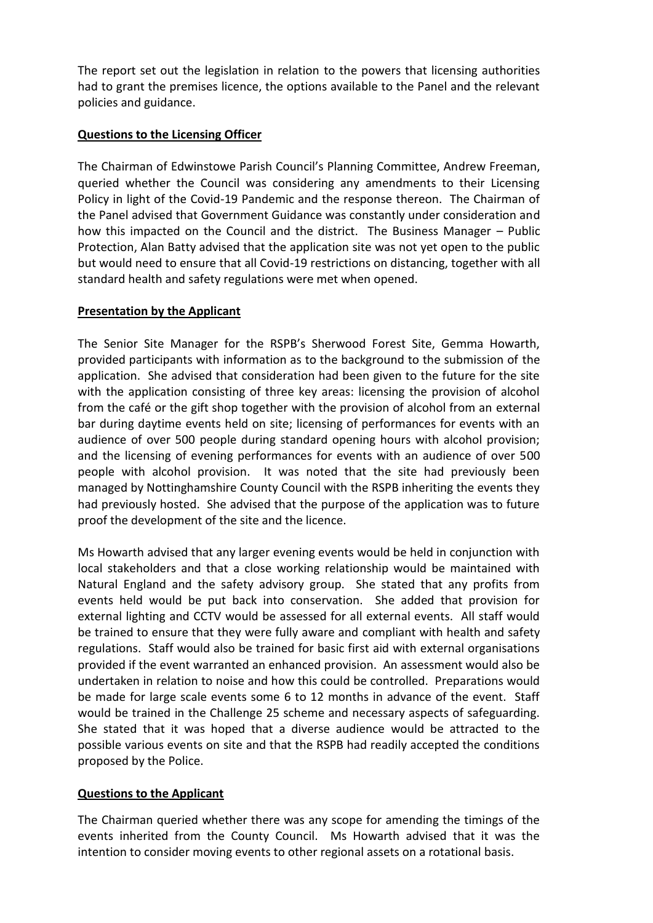The report set out the legislation in relation to the powers that licensing authorities had to grant the premises licence, the options available to the Panel and the relevant policies and guidance.

# **Questions to the Licensing Officer**

The Chairman of Edwinstowe Parish Council's Planning Committee, Andrew Freeman, queried whether the Council was considering any amendments to their Licensing Policy in light of the Covid-19 Pandemic and the response thereon. The Chairman of the Panel advised that Government Guidance was constantly under consideration and how this impacted on the Council and the district. The Business Manager – Public Protection, Alan Batty advised that the application site was not yet open to the public but would need to ensure that all Covid-19 restrictions on distancing, together with all standard health and safety regulations were met when opened.

# **Presentation by the Applicant**

The Senior Site Manager for the RSPB's Sherwood Forest Site, Gemma Howarth, provided participants with information as to the background to the submission of the application. She advised that consideration had been given to the future for the site with the application consisting of three key areas: licensing the provision of alcohol from the café or the gift shop together with the provision of alcohol from an external bar during daytime events held on site; licensing of performances for events with an audience of over 500 people during standard opening hours with alcohol provision; and the licensing of evening performances for events with an audience of over 500 people with alcohol provision. It was noted that the site had previously been managed by Nottinghamshire County Council with the RSPB inheriting the events they had previously hosted. She advised that the purpose of the application was to future proof the development of the site and the licence.

Ms Howarth advised that any larger evening events would be held in conjunction with local stakeholders and that a close working relationship would be maintained with Natural England and the safety advisory group. She stated that any profits from events held would be put back into conservation. She added that provision for external lighting and CCTV would be assessed for all external events. All staff would be trained to ensure that they were fully aware and compliant with health and safety regulations. Staff would also be trained for basic first aid with external organisations provided if the event warranted an enhanced provision. An assessment would also be undertaken in relation to noise and how this could be controlled. Preparations would be made for large scale events some 6 to 12 months in advance of the event. Staff would be trained in the Challenge 25 scheme and necessary aspects of safeguarding. She stated that it was hoped that a diverse audience would be attracted to the possible various events on site and that the RSPB had readily accepted the conditions proposed by the Police.

# **Questions to the Applicant**

The Chairman queried whether there was any scope for amending the timings of the events inherited from the County Council. Ms Howarth advised that it was the intention to consider moving events to other regional assets on a rotational basis.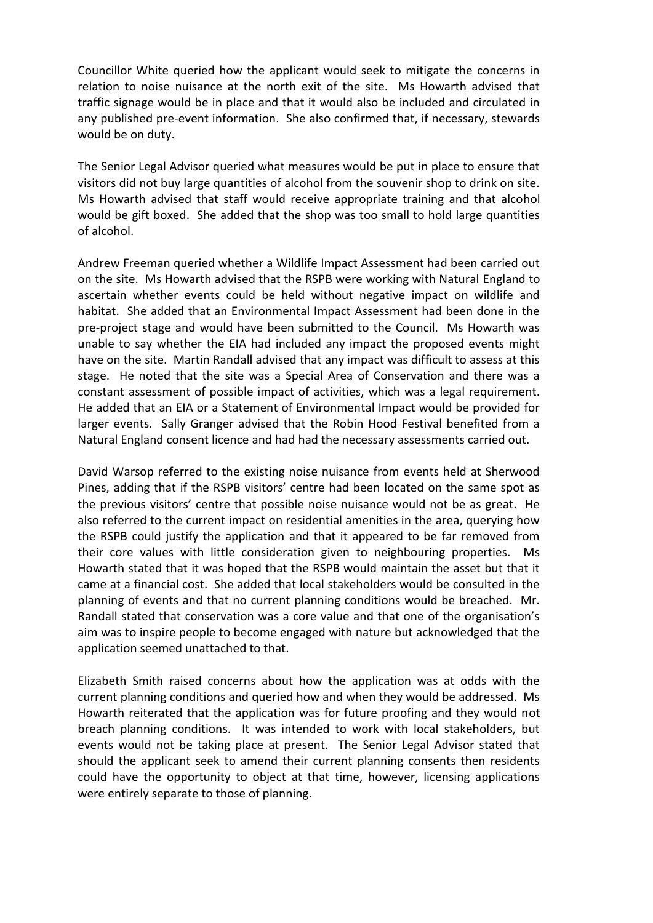Councillor White queried how the applicant would seek to mitigate the concerns in relation to noise nuisance at the north exit of the site. Ms Howarth advised that traffic signage would be in place and that it would also be included and circulated in any published pre-event information. She also confirmed that, if necessary, stewards would be on duty.

The Senior Legal Advisor queried what measures would be put in place to ensure that visitors did not buy large quantities of alcohol from the souvenir shop to drink on site. Ms Howarth advised that staff would receive appropriate training and that alcohol would be gift boxed. She added that the shop was too small to hold large quantities of alcohol.

Andrew Freeman queried whether a Wildlife Impact Assessment had been carried out on the site. Ms Howarth advised that the RSPB were working with Natural England to ascertain whether events could be held without negative impact on wildlife and habitat. She added that an Environmental Impact Assessment had been done in the pre-project stage and would have been submitted to the Council. Ms Howarth was unable to say whether the EIA had included any impact the proposed events might have on the site. Martin Randall advised that any impact was difficult to assess at this stage. He noted that the site was a Special Area of Conservation and there was a constant assessment of possible impact of activities, which was a legal requirement. He added that an EIA or a Statement of Environmental Impact would be provided for larger events. Sally Granger advised that the Robin Hood Festival benefited from a Natural England consent licence and had had the necessary assessments carried out.

David Warsop referred to the existing noise nuisance from events held at Sherwood Pines, adding that if the RSPB visitors' centre had been located on the same spot as the previous visitors' centre that possible noise nuisance would not be as great. He also referred to the current impact on residential amenities in the area, querying how the RSPB could justify the application and that it appeared to be far removed from their core values with little consideration given to neighbouring properties. Ms Howarth stated that it was hoped that the RSPB would maintain the asset but that it came at a financial cost. She added that local stakeholders would be consulted in the planning of events and that no current planning conditions would be breached. Mr. Randall stated that conservation was a core value and that one of the organisation's aim was to inspire people to become engaged with nature but acknowledged that the application seemed unattached to that.

Elizabeth Smith raised concerns about how the application was at odds with the current planning conditions and queried how and when they would be addressed. Ms Howarth reiterated that the application was for future proofing and they would not breach planning conditions. It was intended to work with local stakeholders, but events would not be taking place at present. The Senior Legal Advisor stated that should the applicant seek to amend their current planning consents then residents could have the opportunity to object at that time, however, licensing applications were entirely separate to those of planning.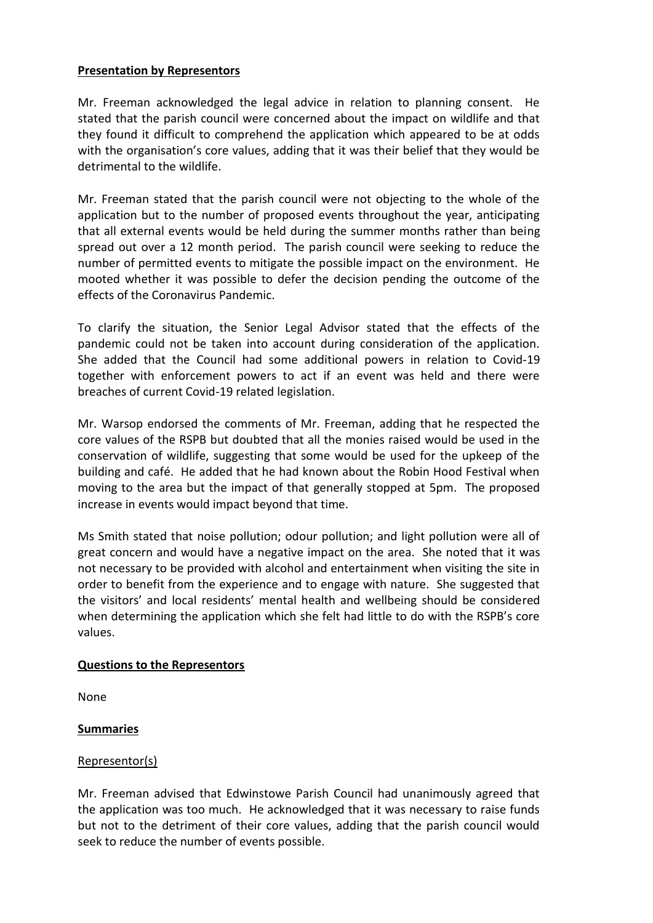# **Presentation by Representors**

Mr. Freeman acknowledged the legal advice in relation to planning consent. He stated that the parish council were concerned about the impact on wildlife and that they found it difficult to comprehend the application which appeared to be at odds with the organisation's core values, adding that it was their belief that they would be detrimental to the wildlife.

Mr. Freeman stated that the parish council were not objecting to the whole of the application but to the number of proposed events throughout the year, anticipating that all external events would be held during the summer months rather than being spread out over a 12 month period. The parish council were seeking to reduce the number of permitted events to mitigate the possible impact on the environment. He mooted whether it was possible to defer the decision pending the outcome of the effects of the Coronavirus Pandemic.

To clarify the situation, the Senior Legal Advisor stated that the effects of the pandemic could not be taken into account during consideration of the application. She added that the Council had some additional powers in relation to Covid-19 together with enforcement powers to act if an event was held and there were breaches of current Covid-19 related legislation.

Mr. Warsop endorsed the comments of Mr. Freeman, adding that he respected the core values of the RSPB but doubted that all the monies raised would be used in the conservation of wildlife, suggesting that some would be used for the upkeep of the building and café. He added that he had known about the Robin Hood Festival when moving to the area but the impact of that generally stopped at 5pm. The proposed increase in events would impact beyond that time.

Ms Smith stated that noise pollution; odour pollution; and light pollution were all of great concern and would have a negative impact on the area. She noted that it was not necessary to be provided with alcohol and entertainment when visiting the site in order to benefit from the experience and to engage with nature. She suggested that the visitors' and local residents' mental health and wellbeing should be considered when determining the application which she felt had little to do with the RSPB's core values.

## **Questions to the Representors**

None

# **Summaries**

## Representor(s)

Mr. Freeman advised that Edwinstowe Parish Council had unanimously agreed that the application was too much. He acknowledged that it was necessary to raise funds but not to the detriment of their core values, adding that the parish council would seek to reduce the number of events possible.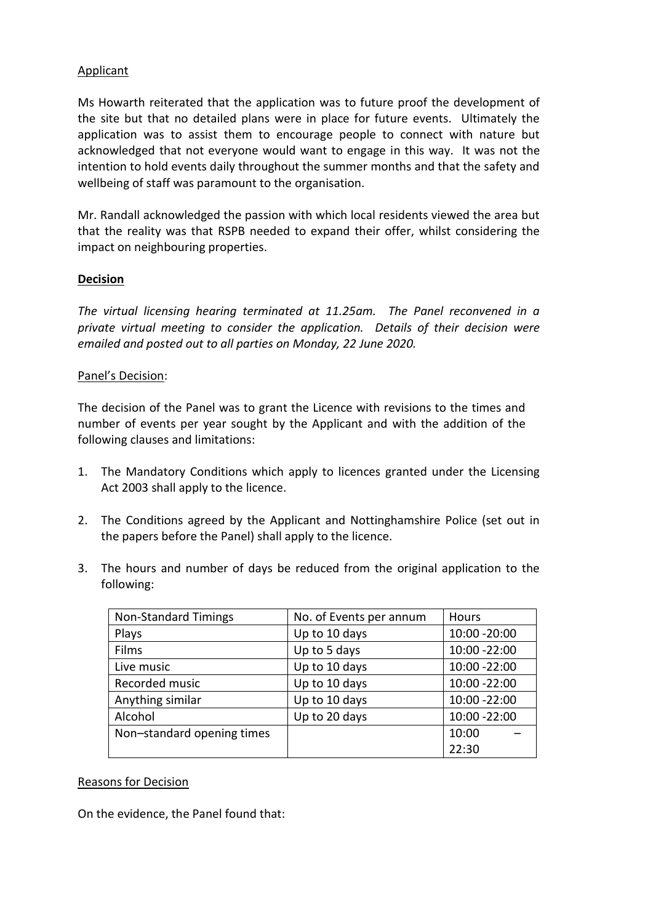## Applicant

Ms Howarth reiterated that the application was to future proof the development of the site but that no detailed plans were in place for future events. Ultimately the application was to assist them to encourage people to connect with nature but acknowledged that not everyone would want to engage in this way. It was not the intention to hold events daily throughout the summer months and that the safety and wellbeing of staff was paramount to the organisation.

Mr. Randall acknowledged the passion with which local residents viewed the area but that the reality was that RSPB needed to expand their offer, whilst considering the impact on neighbouring properties.

# **Decision**

*The virtual licensing hearing terminated at 11.25am. The Panel reconvened in a private virtual meeting to consider the application. Details of their decision were emailed and posted out to all parties on Monday, 22 June 2020.*

## Panel's Decision:

The decision of the Panel was to grant the Licence with revisions to the times and number of events per year sought by the Applicant and with the addition of the following clauses and limitations:

- 1. The Mandatory Conditions which apply to licences granted under the Licensing Act 2003 shall apply to the licence.
- 2. The Conditions agreed by the Applicant and Nottinghamshire Police (set out in the papers before the Panel) shall apply to the licence.
- 3. The hours and number of days be reduced from the original application to the following:

| <b>Non-Standard Timings</b> | No. of Events per annum | <b>Hours</b>  |
|-----------------------------|-------------------------|---------------|
| Plays                       | Up to 10 days           | 10:00 - 20:00 |
| Films                       | Up to 5 days            | 10:00 -22:00  |
| Live music                  | Up to 10 days           | 10:00 -22:00  |
| Recorded music              | Up to 10 days           | 10:00 -22:00  |
| Anything similar            | Up to 10 days           | 10:00 -22:00  |
| Alcohol                     | Up to 20 days           | 10:00 -22:00  |
| Non-standard opening times  |                         | 10:00         |
|                             |                         | 22:30         |

## Reasons for Decision

On the evidence, the Panel found that: